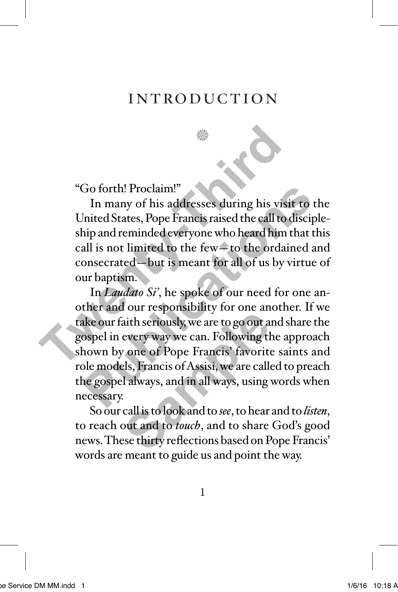## introduction

**North** 

"Go forth! Proclaim!"

In many of his addresses during his visit to the United States, Pope Francis raised the call to discipleship and reminded everyone who heard him that this call is not limited to the few—to the ordained and consecrated—but is meant for all of us by virtue of our baptism. <sup>2</sup><br>
"Go forth! Proclaim!"<br>
In many of his addresses during his visit<br>
United States, Pope Francis raised the call to d<br>
ship and reminded everyone who heard him t<br>
call is not limited to the few—to the ordain<br>
consecrated

In *Laudato Si'*, he spoke of our need for one another and our responsibility for one another. If we take our faith seriously, we are to go out and share the gospel in every way we can. Following the approach shown by one of Pope Francis' favorite saints and role models, Francis of Assisi, we are called to preach the gospel always, and in all ways, using words when necessary. Go forth! Proclaim!"<br>In many of his addresses during his visit to th<br>Inited States, Pope Francis raised the call to disciple<br>hip and reminded everyone who heard him that thi<br>all is not limited to the few—to the ordained an Four seepends and y for one and<br>aith seriously, we are to go out a<br>every way we can. Following the<br>prope Francis' favorite<br>ls, Francis of Assisi, we are calle<br>al always, and in all ways, using<br>is call is to look and to *se* 

So our call is to look and to *see*, to hear and to *listen*, to reach out and to *touch*, and to share God's good news. These thirty reflections based on Pope Francis' words are meant to guide us and point the way.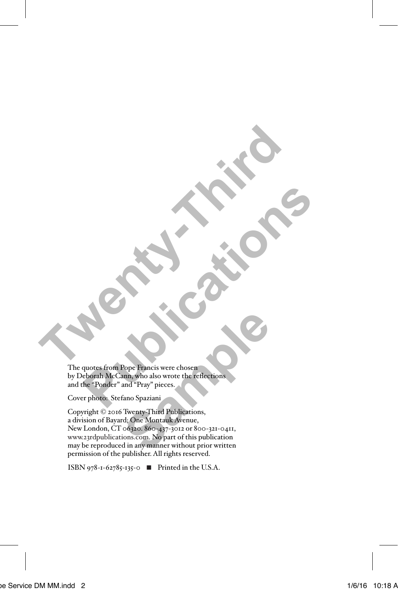The quotes from Pope Francis were chosen by Deborah McCann, who also wrote the reflections and the "Ponder" and "Pray" pieces. **Twenty-Third Print Publication Pope Francis were chosen**<br>
Records from Pope Francis were chosen<br>
Records From Pope Francis were chosen<br>
The Ponder" and "Pray" pieces.

Cover photo: Stefano Spaziani

Copyright © 2016 Twenty-Third Publications, a division of Bayard; One Montauk Avenue, New London, CT 06320. 860-437-3012 or 800-321-0411, www.23rdpublications.com. No part of this publication may be reproduced in any manner without prior written permission of the publisher. All rights reserved. Pope Francis were chosen<br>nn, who also wrote the reflections<br>and "Pray" pieces.<br>"ano Spaziani<br>"George" Samples and March Content of the publication<br>cofazo. 860-437-5012 or 800-321-0411,<br>ons.com. No part of this publication<br>

ISBN 978-1-62785-135-0 ◾ Printed in the U.S.A.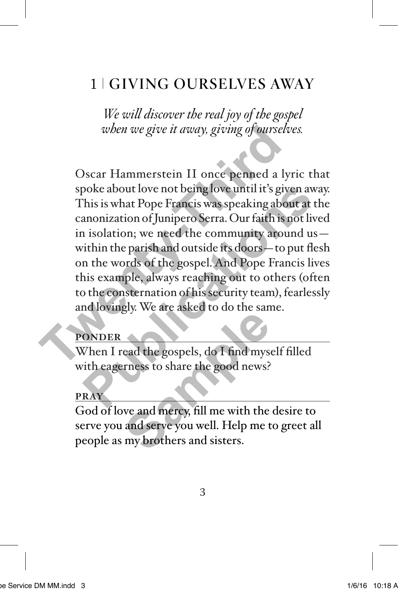# 1 GIVING OURSELVES AWAY

*We will discover the real joy of the gospel when we give it away, giving of ourselves.*

Oscar Hammerstein II once penned a lyric that spoke about love not being love until it's given away. This is what Pope Francis was speaking about at the canonization of Junipero Serra. Our faith is not lived in isolation; we need the community around us within the parish and outside its doors—to put flesh on the words of the gospel. And Pope Francis lives this example, always reaching out to others (often to the consternation of his security team), fearlessly and lovingly. We are asked to do the same. *when we give it away, giving of ourselves*<br>Oscar Hammerstein II once penned a ly<br>spoke about love not being love until it's give<br>This is what Pope Francis was speaking about<br>canonization of Junipero Serra. Our faith is n<br> poke about love not being love until it's given away<br>This is what Pope Francis was speaking about at th<br>anonization of Junipero Serra. Our faith is not live<br>i isolation; we need the community around us-<br>ithin the parish an

### **PONDER**

When I read the gospels, do I find myself filled with eagerness to share the good news?

#### **PRAY**

God of love and mercy, fill me with the desire to serve you and serve you well. Help me to greet all people as my brothers and sisters. Examples to the standard component of the standard component of the standard component of the standard series of the standard series and series and sisters.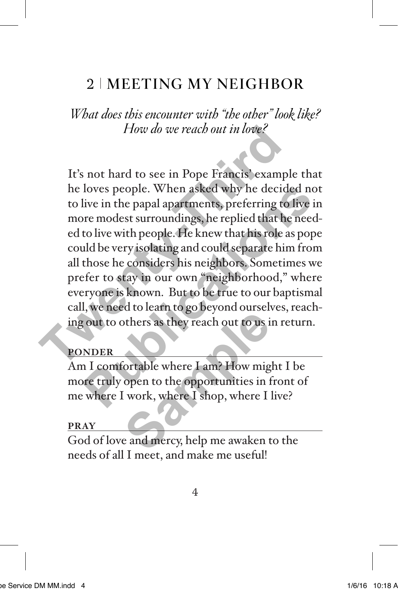# 2 MEETING MY NEIGHBOR

*What does this encounter with "the other" look like? How do we reach out in love?*

It's not hard to see in Pope Francis' example that he loves people. When asked why he decided not to live in the papal apartments, preferring to live in more modest surroundings, he replied that he needed to live with people. He knew that his role as pope could be very isolating and could separate him from all those he considers his neighbors. Sometimes we prefer to stay in our own "neighborhood," where everyone is known. But to be true to our baptismal call, we need to learn to go beyond ourselves, reaching out to others as they reach out to us in return. How do we reach out in love?<br>It's not hard to see in Pope Francis' example<br>he loves people. When asked why he decide<br>to live in the papal apartments, preferring to<br>more modest surroundings, he replied that he<br>ed to live wi loves people. When asked why he decided not<br>live in the papal apartments, preferring to live in<br>ore modest surroundings, he replied that he need-<br>to live with people. He knew that his role as pope<br>uld be very isolating and

### **PONDER**

Am I comfortable where I am? How might I be more truly open to the opportunities in front of me where I work, where I shop, where I live? of the sample of the same of the same of the same of the same of the same of the same of the same of the same of the same of the same of the same of the same of the same of the same of the same of the same of the same of t

### **PRAY**

God of love and mercy, help me awaken to the needs of all I meet, and make me useful!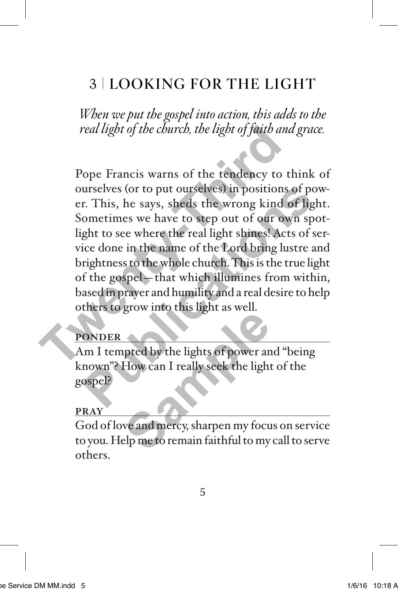# 3 LOOKING FOR THE LIGHT

*When we put the gospel into action, this adds to the real light of the church, the light of faith and grace.*

Pope Francis warns of the tendency to think of ourselves (or to put ourselves) in positions of power. This, he says, sheds the wrong kind of light. Sometimes we have to step out of our own spotlight to see where the real light shines! Acts of service done in the name of the Lord bring lustre and brightness to the whole church. This is the true light of the gospel—that which illumines from within, based in prayer and humility and a real desire to help others to grow into this light as well. real light of the church, the light of faith and<br>
Pope Francis warns of the tendency to the<br>
ourselves (or to put ourselves) in positions<br>
er. This, he says, sheds the wrong kind of<br>
Sometimes we have to step out of our ow urselves (or to put ourselves) in positions of pow<br>
r. This, he says, sheds the wrong kind of light<br>
ometimes we have to step out of our own spot<br>
ght to see where the real light shines! Acts of ser<br>
ice done in the name o

### **PONDER**

Am I tempted by the lights of power and "being known"? How can I really seek the light of the gospel? **Solution Compare to the United States of power and How can I really seek the light<br>
We and mercy, sharpen my focular the metal metal of the metal metal of the metal metal of the metal metal of the metal metal of the metal** 

#### **PRAY**

God of love and mercy, sharpen my focus on service to you. Help me to remain faithful to my call to serve others.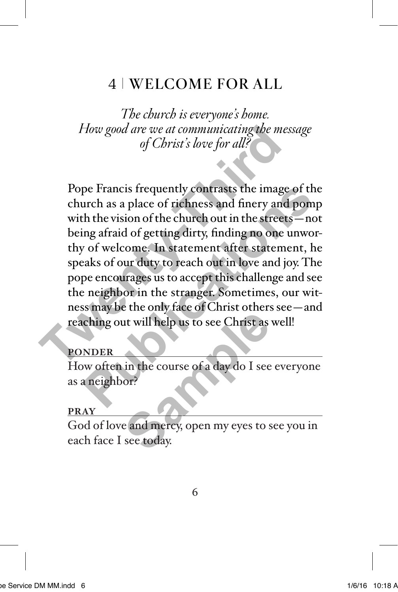# 4 WELCOME FOR ALL

*The church is everyone's home. How good are we at communicating the message of Christ's love for all?*

Pope Francis frequently contrasts the image of the church as a place of richness and finery and pomp with the vision of the church out in the streets—not being afraid of getting dirty, finding no one unworthy of welcome. In statement after statement, he speaks of our duty to reach out in love and joy. The pope encourages us to accept this challenge and see the neighbor in the stranger. Sometimes, our witness may be the only face of Christ others see—and reaching out will help us to see Christ as well! *How good are we at communicating the mess*<br> *of Christ's love for all?*<br>
Pope Francis frequently contrasts the image<br>
church as a place of richness and finery and<br>
with the vision of the church out in the streets<br>
being a pe Francis frequently contrasts the image of the<br>urch as a place of richness and finery and pomp<br>th the vision of the church out in the streets—not<br>ing afraid of getting dirty, finding no one unwor-<br>v of welcome. In statem

### **PONDER**

How often in the course of a day do I see everyone as a neighbor? It will help us to see Christ as<br>in the course of a day do I see<br>or?<br>e and mercy, open my eyes to s<br>see today.

#### **PRAY**

God of love and mercy, open my eyes to see you in each face I see today.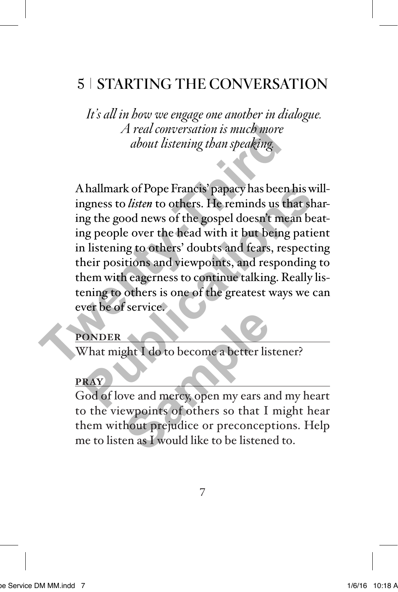# 5 STARTING THE CONVERSATION

 *It's all in how we engage one another in dialogue. A real conversation is much more about listening than speaking.*

A hallmark of Pope Francis' papacy has been his willingness to *listen* to others. He reminds us that sharing the good news of the gospel doesn't mean beating people over the head with it but being patient in listening to others' doubts and fears, respecting their positions and viewpoints, and responding to them with eagerness to continue talking. Really listening to others is one of the greatest ways we can ever be of service. *A real conversation is much more<br>about listening than speaking.*<br>A hallmark of Pope Francis' papacy has been<br>ingness to *listen* to others. He reminds us th<br>ing the good news of the gospel doesn't meet<br>ing people over the Francis' papacy has been his will agrees to *listen* to others. He reminds us that shaing the good news of the gospel doesn't mean beat and people over the head with it but being patien alistening to others' doubts and fea

### **PONDER**

What might I do to become a better listener?

### **PRAY**

God of love and mercy, open my ears and my heart to the viewpoints of others so that I might hear them without prejudice or preconceptions. Help me to listen as I would like to be listened to. **Sample 1**<br> **Sample 1**<br> **Sample 1**<br> **Sample 1**<br> **Sample 1**<br> **Sample 1**<br> **Sample 1**<br> **Sample 1**<br> **Sample 1**<br> **Sample 1**<br> **Sample 1**<br> **Sample 1**<br> **Sample 1**<br> **Sample 1**<br> **Sample 1**<br> **Sample 1**<br> **Sample 1**<br> **Sample 1**<br> **Sampl**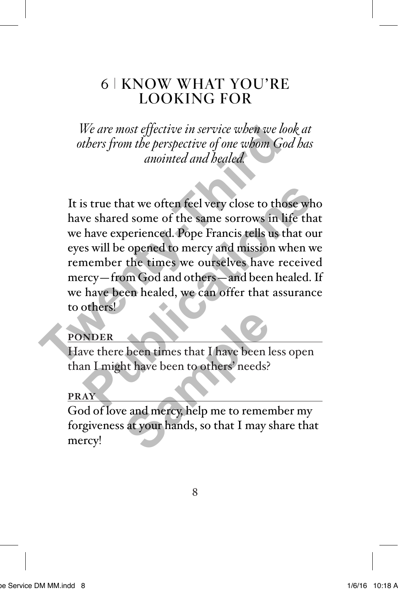## 6 KNOW WHAT YOU'RE LOOKING FOR

*We are most effective in service when we look at others from the perspective of one whom God has anointed and healed.*

It is true that we often feel very close to those who have shared some of the same sorrows in life that we have experienced. Pope Francis tells us that our eyes will be opened to mercy and mission when we remember the times we ourselves have received mercy—from God and others—and been healed. If we have been healed, we can offer that assurance to others! We are most effective in service when we loo,<br>others from the perspective of one whom Goa<br>anointed and healed.<br>It is true that we often feel very close to thos<br>have shared some of the same sorrows in life<br>we have experienc In that we often feel very close to those who<br>we shared some of the same sorrows in life that<br>have experienced. Pope Francis tells us that our<br>s will be opened to mercy and mission when we<br>member the times we ourselves hav

### **PONDER**

Have there been times that I have been less open than I might have been to others' needs?

### **PRAY**

God of love and mercy, help me to remember my forgiveness at your hands, so that I may share that mercy! been times that I have been l<br>ht have been to others' needs?<br>e and mercy, help me to remer<br>at your hands, so that I may s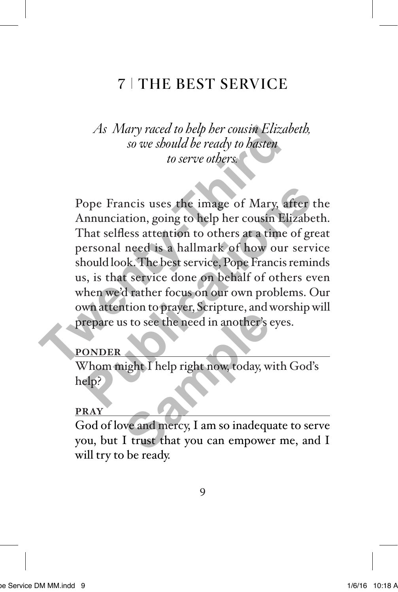# **7 | THE BEST SERVICE**

*As Mary raced to help her cousin Elizabeth, so we should be ready to hasten to serve others.*

Pope Francis uses the image of Mary, after the Annunciation, going to help her cousin Elizabeth. That selfless attention to others at a time of great personal need is a hallmark of how our service should look. The best service, Pope Francis reminds us, is that service done on behalf of others even when we'd rather focus on our own problems. Our own attention to prayer, Scripture, and worship will prepare us to see the need in another's eyes. *As Mary raced to belp her cousin Elizab*<br>so we should be ready to hasten<br>to serve others.<br>That selfies a tention to others at a time of<br>personal need is a hallmark of how our<br>should look. The best service, Pope Francis r<br> Prancis uses the image of Mary, after the<br>
innunciation, going to help her cousin Elizabeth<br>
hat selfless attention to others at a time of grea<br>
ersonal need is a hallmark of how our service<br>
hould look. The best service,

#### **PONDER**

Whom might I help right now, today, with God's help?

#### **PRAY**

God of love and mercy, I am so inadequate to serve you, but I trust that you can empower me, and I will try to be ready. s to see the need in another's<br>sto see the need in another's<br>ight I help right now, today, w<br>we and mercy, I am so inadequ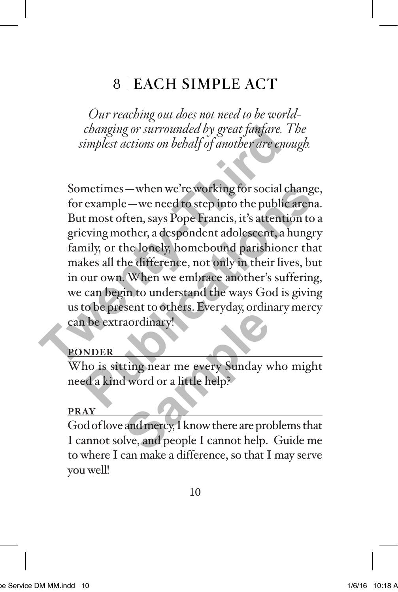# 8 EACH SIMPLE ACT

*Our reaching out does not need to be worldchanging or surrounded by great fanfare. The simplest actions on behalf of another are enough.*

Sometimes—when we're working for social change, for example—we need to step into the public arena. But most often, says Pope Francis, it's attention to a grieving mother, a despondent adolescent, a hungry family, or the lonely, homebound parishioner that makes all the difference, not only in their lives, but in our own. When we embrace another's suffering, we can begin to understand the ways God is giving us to be present to others. Everyday, ordinary mercy can be extraordinary! *Changing or surrounded by great fantare. T*<br>
simplest actions on bebalf of another are enot<br>
Sometimes—when we're working for social cl<br>
for example—we need to step into the public<br>
But most often, says Pope Francis, it's metimes — when we're working for social change,<br>
rexample — we need to step into the public arena.<br>
t most often, says Pope Francis, it's attention to a<br>
eving mother, a despondent adolescent, a hungry<br>
mily, or the lonely

### **PONDER**

Who is sitting near me every Sunday who might need a kind word or a little help?

### **PRAY**

God of love and mercy, I know there are problems that I cannot solve, and people I cannot help. Guide me to where I can make a difference, so that I may serve you well! aordinary!<br>
aordinary!<br>
aordinary!<br>
I word or a little help?<br>
and mercy, I know there are pro<br>
live, and people I cannot help.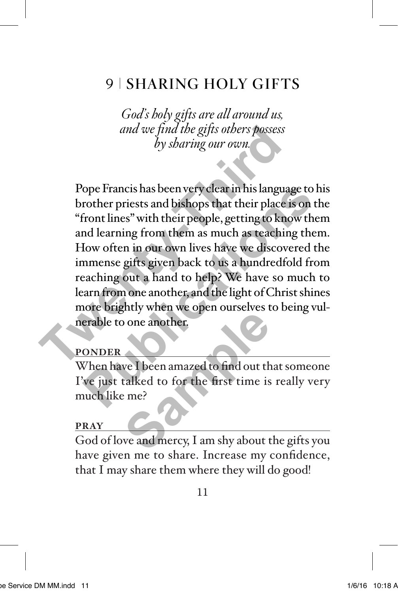# 9 SHARING HOLY GIFTS

*God's holy gifts are all around us, and we find the gifts others possess by sharing our own.*

Pope Francis has been very clear in his language to his brother priests and bishops that their place is on the "front lines" with their people, getting to know them and learning from them as much as teaching them. How often in our own lives have we discovered the immense gifts given back to us a hundredfold from reaching out a hand to help? We have so much to learn from one another, and the light of Christ shines more brightly when we open ourselves to being vulnerable to one another. and we find the gifts others possess<br>by sharing our own.<br>Dope Francis has been very clear in his language<br>brother priests and bishops that their place is<br>"front lines" with their people, getting to kno<br>and learning from th lope Francis has been very clear in his language to his<br>rother priests and bishops that their place is on th<br>front lines" with their people, getting to know then<br>nd learning from them as much as teaching them<br>low often in

### **PONDER**

When have I been amazed to find out that someone I've just talked to for the first time is really very much like me? one another.<br>
We I been amazed to find out the<br>
talked to for the first time is<br>
e me?<br>
We and mercy, I am shy about t

### **PRAY**

God of love and mercy, I am shy about the gifts you have given me to share. Increase my confidence, that I may share them where they will do good!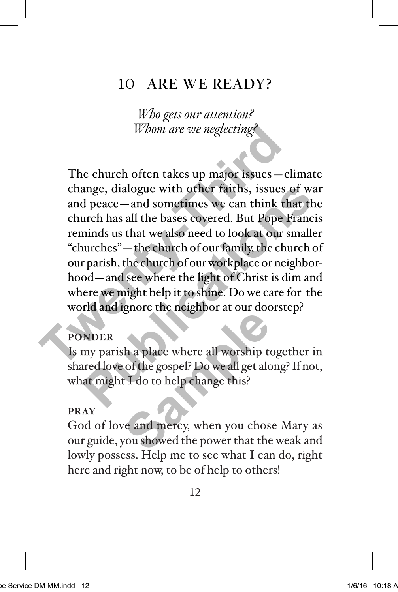# 10 ARE WE READY?

*Who gets our attention? Whom are we neglecting?*

The church often takes up major issues—climate change, dialogue with other faiths, issues of war and peace—and sometimes we can think that the church has all the bases covered. But Pope Francis reminds us that we also need to look at our smaller "churches"—the church of our family, the church of our parish, the church of our workplace or neighborhood—and see where the light of Christ is dim and where we might help it to shine. Do we care for the world and ignore the neighbor at our doorstep? Whom are we neglecting?<br>The church often takes up major issues - cl<br>change, dialogue with other faiths, issues c<br>and peace - and sometimes we can think the<br>church has all the bases covered. But Pope F<br>reminds us that we al ange, dialogue with other faiths, issues of ward peace—and sometimes we can think that the urch has all the bases covered. But Pope Francis minds us that we also need to look at our smaller uurches"—the church of our famil

## **PONDER**

Is my parish a place where all worship together in shared love of the gospel? Do we all get along? If not, what might I do to help change this? the application and state<br>
Samples of the gospel? Do we all get alcord the gospel? Do we all get alcord the state<br>
of the do to help change this?<br>
The and mercy, when you chospel with the power that the<br>
power that the pow

#### **PRAY**

God of love and mercy, when you chose Mary as our guide, you showed the power that the weak and lowly possess. Help me to see what I can do, right here and right now, to be of help to others!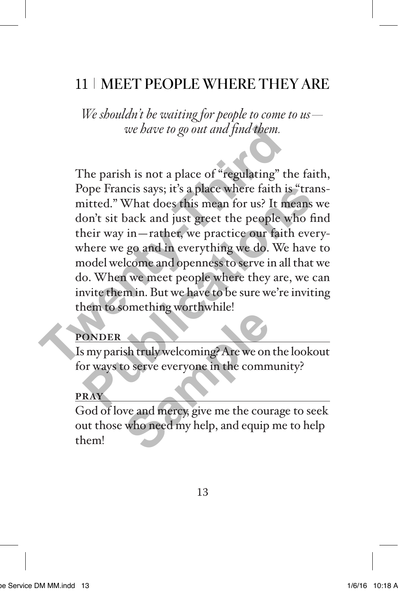# 11 MEET PEOPLE WHERE THEY ARE

*We shouldn't be waiting for people to come to us we have to go out and find them.*

The parish is not a place of  $\epsilon$  regulating" the faith, Pope Francis says; it's a place where faith is "transmitted." What does this mean for us? It means we don't sit back and just greet the people who find their way in—rather, we practice our faith everywhere we go and in everything we do. We have to model welcome and openness to serve in all that we do. When we meet people where they are, we can invite them in. But we have to be sure we're inviting them to something worthwhile! *we have to go out and find them.*<br>The parish is not a place of "regulating" th<br>Pope Francis says; it's a place where faith is<br>mitted." What does this mean for us? It me<br>don't sit back and just greet the people w<br>their way lope Francis says; it's a place where faith is "trans"<br>
itted." What does this mean for us? It means w<br>
on't sit back and just greet the people who fin<br>
heir way in—rather, we practice our faith every<br>
there we go and in e

### **PONDER**

Is my parish truly welcoming? Are we on the lookout for ways to serve everyone in the community?

### **PRAY**

God of love and mercy, give me the courage to seek out those who need my help, and equip me to help them! Sh truly welcoming? Are we on<br>to serve everyone in the comm<br>we and mercy, give me the cour<br>who need my help, and equip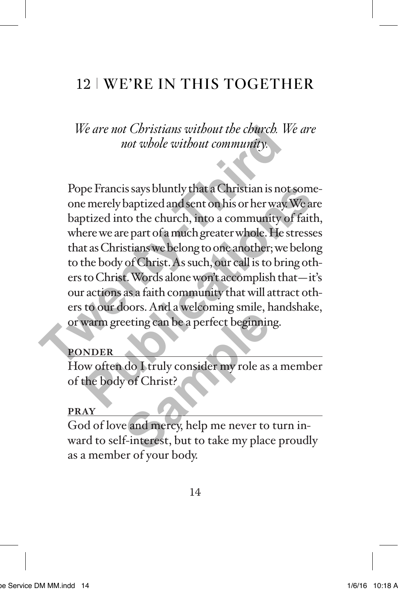# 12 WE'RE IN THIS TOGETHER

*We are not Christians without the church. We are not whole without community.*

Pope Francis says bluntly that a Christian is not someone merely baptized and sent on his or her way. We are baptized into the church, into a community of faith, where we are part of a much greater whole. He stresses that as Christians we belong to one another; we belong to the body of Christ. As such, our call is to bring others to Christ. Words alone won't accomplish that—it's our actions as a faith community that will attract others to our doors. And a welcoming smile, handshake, or warm greeting can be a perfect beginning. We are not Christians without the church. We<br>not whole without community.<br>The proper Francis says bluntly that a Christian is not<br>one merely baptized and sent on his or her way.<br>To baptized into the church, into a communit pe Francis says bluntly that a Christian is not some-<br>e merely baptized and sent on his or her way. We are<br>otized into the church, into a community of faith,<br>ere we are part of a much greater whole. He stresses<br>t as Christ

## **PONDER**

How often do I truly consider my role as a member of the body of Christ?

### **PRAY**

God of love and mercy, help me never to turn inward to self-interest, but to take my place proudly as a member of your body. Final a Hagaing share, and the aperfect beginning<br>
do I truly consider my role as<br>
do I truly consider my role as<br>
e and mercy, help me never to<br>
f-interest, but to take my place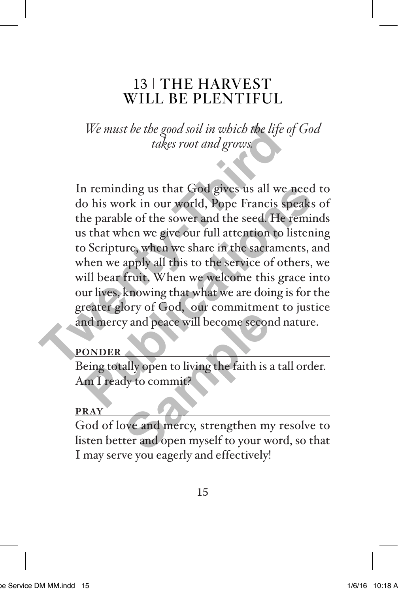## 13 THE HARVEST WILL BE PLENTIFUL

*We must be the good soil in which the life of God takes root and grows.*

In reminding us that God gives us all we need to do his work in our world, Pope Francis speaks of the parable of the sower and the seed. He reminds us that when we give our full attention to listening to Scripture, when we share in the sacraments, and when we apply all this to the service of others, we will bear fruit. When we welcome this grace into our lives, knowing that what we are doing is for the greater glory of God, our commitment to justice and mercy and peace will become second nature. We must be the good soil in which the life of<br>takes root and grows<br>takes root and grows<br>do his work in our world, Pope Francis sp<br>the parable of the sower and the seed. He r<br>us that when we give our full attention to li<br>to In reminding us that God gives us all we need to his work in our world, Pope Francis speaks of the sort and the seed. He reminds that when we give our full attention to listening Scripture, when we share in the sacraments,

## **PONDER**

Being totally open to living the faith is a tall order. Am I ready to commit?

## **PRAY**

God of love and mercy, strengthen my resolve to listen better and open myself to your word, so that I may serve you eagerly and effectively! **Sample 1989**<br>
Sample and peace will become second<br>
Sample 2011<br>
Sample 2012<br>
The samples of the sample of the sample of the sample of the sample<br>
of the sample of the sample of the sample of the sample of the sample<br>
Samp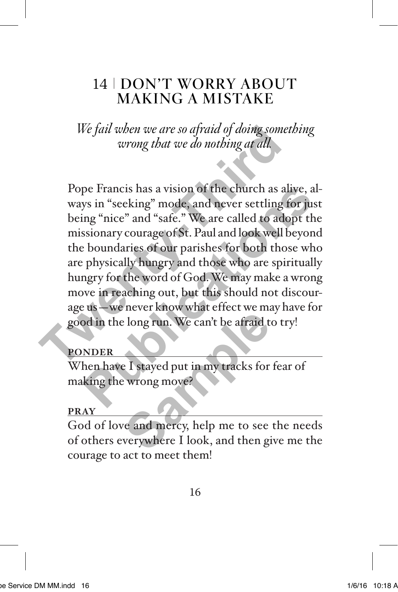# 14 | DON'T WORRY ABOUT MAKING A MISTAKE

*We fail when we are so afraid of doing something wrong that we do nothing at all.*

Pope Francis has a vision of the church as alive, always in "seeking" mode, and never settling for just being "nice" and "safe." We are called to adopt the missionary courage of St. Paul and look well beyond the boundaries of our parishes for both those who are physically hungry and those who are spiritually hungry for the word of God. We may make a wrong move in reaching out, but this should not discourage us—we never know what effect we may have for good in the long run. We can't be afraid to try! We fail when we are so afraid of doing somet.<br>
wrong that we do nothing at all.<br>
Pope Francis has a vision of the church as all<br>
ways in "seeking" mode, and never settling for<br>
being "nice" and "safe." We are called to ado pe Francis has a vision of the church as alive, al-<br>ys in "seeking" mode, and never settling for just<br>ing "nice" and "safe." We are called to adopt the<br>bsionary courage of St. Paul and look well beyond<br>boundaries of our pa

## **PONDER**

When have I stayed put in my tracks for fear of making the wrong move?

### **PRAY**

God of love and mercy, help me to see the needs of others everywhere I look, and then give me the courage to act to meet them! Figures 1. We can't be afraid to long run. We can't be afraid to long run. We can't be afraid to long the state of the state of the state of the state of the state of the state of the state of the state of the state of the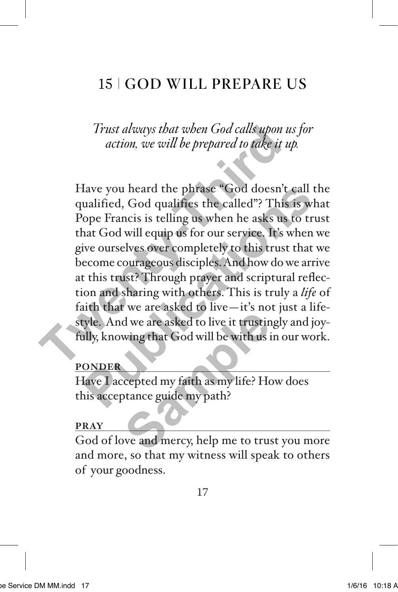# 15 GOD WILL PREPARE US

*Trust always that when God calls upon us for action, we will be prepared to take it up.*

Have you heard the phrase "God doesn't call the qualified, God qualifies the called"? This is what Pope Francis is telling us when he asks us to trust that God will equip us for our service. It's when we give ourselves over completely to this trust that we become courageous disciples. And how do we arrive at this trust? Through prayer and scriptural reflection and sharing with others. This is truly a *life* of faith that we are asked to live—it's not just a lifestyle. And we are asked to live it trustingly and joyfully, knowing that God will be with us in our work. Trust always that when God calls upon us<br>action, we will be prepared to take it u<sub></sub><br>action, we will be prepared to take it u<sub></sub><br>Have you heard the phrase "God doesn't qualified, God qualifies the called"? This<br>Pope Francis Have you heard the phrase "God doesn't call th<br>ualified, God qualifies the called"? This is wha<br>ope Francis is telling us when he asks us to trus<br>hat God will equip us for our service. It's when w<br>ive ourselves over comple d we are asked to live it trustin<br>wing that God will be with us if<br>expected my faith as my life? How<br>cepted my faith as my life? How<br>we and mercy, help me to trus

### **PONDER**

Have I accepted my faith as my life? How does this acceptance guide my path?

### **PRAY**

God of love and mercy, help me to trust you more and more, so that my witness will speak to others of your goodness.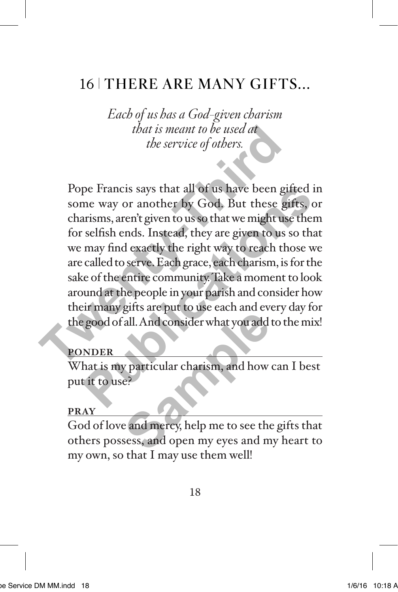# 16 THERE ARE MANY GIFTS...

*Each of us has a God-given charism that is meant to be used at the service of others.*

Pope Francis says that all of us have been gifted in some way or another by God. But these gifts, or charisms, aren't given to us so that we might use them for selfish ends. Instead, they are given to us so that we may find exactly the right way to reach those we are called to serve. Each grace, each charism, is for the sake of the entire community. Take a moment to look around at the people in your parish and consider how their many gifts are put to use each and every day for the good of all. And consider what you add to the mix! *that is meant to be used at*<br>*the service of others.*<br>Pope Francis says that all of us have been gif<br>some way or another by God. But these gif<br>charisms, aren't given to us so that we might use<br>for selfish ends. Instead, t pe Francis says that all of us have been gifted in<br>me way or another by God. But these gifts, or<br>arisms, aren't given to us so that we might use them<br>selfish ends. Instead, they are given to us so that<br>may find exactly the

### **PONDER**

What is my particular charism, and how can I best put it to use?

#### **PRAY**

God of love and mercy, help me to see the gifts that others possess, and open my eyes and my heart to my own, so that I may use them well! all. And consider what you add<br>all. And consider what you add<br>e?<br>e and mercy, help me to see the<br>sess, and open my eyes and m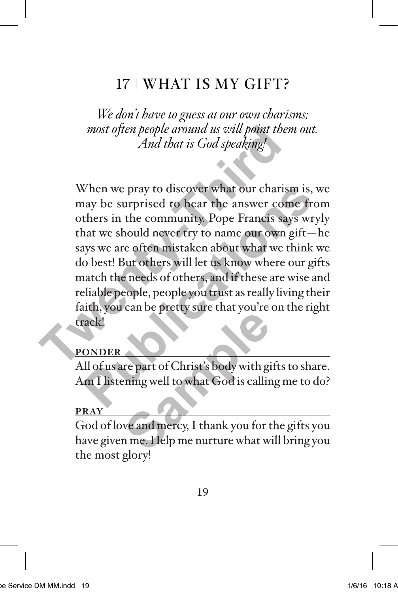# 17 WHAT IS MY GIFT?

*We don't have to guess at our own charisms; most often people around us will point them out. And that is God speaking!*

When we pray to discover what our charism is, we may be surprised to hear the answer come from others in the community. Pope Francis says wryly that we should never try to name our own gift—he says we are often mistaken about what we think we do best! But others will let us know where our gifts match the needs of others, and if these are wise and reliable people, people you trust as really living their faith, you can be pretty sure that you're on the right track! most often people around us will point then<br>And that is God speaking!<br>When we pray to discover what our charism<br>may be surprised to hear the answer com<br>others in the community. Pope Francis say<br>that we should never try to When we pray to discover what our charism is, we have surprised to hear the answer come from thers in the community. Pope Francis says wryl hat we should never try to name our own gift—h ays we are often mistaken about wha

### **PONDER**

All of us are part of Christ's body with gifts to share. Am I listening well to what God is calling me to do?

### **PRAY**

God of love and mercy, I thank you for the gifts you have given me. Help me nurture what will bring you the most glory! **Sample part of Christ's body with given**<br>
The part of Christ's body with given<br>
we and mercy, I thank you for the metal with the metal with the metal with the metal<br>
of the metal with the metal with the metal with the met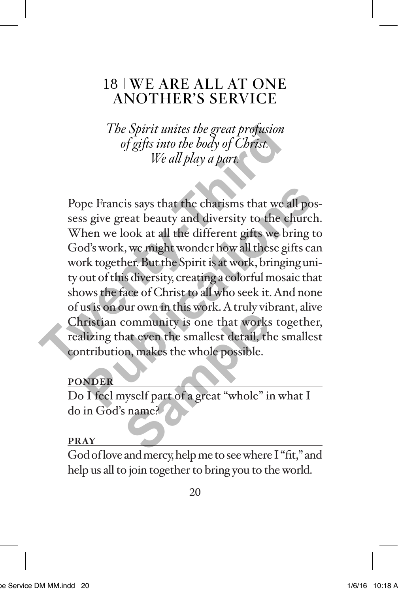## 18 WE ARE ALL AT ONE ANOTHER'S SERVICE

*The Spirit unites the great profusion of gifts into the body of Christ. We all play a part.*

Pope Francis says that the charisms that we all possess give great beauty and diversity to the church. When we look at all the different gifts we bring to God's work, we might wonder how all these gifts can work together. But the Spirit is at work, bringing unity out of this diversity, creating a colorful mosaic that shows the face of Christ to all who seek it. And none of us is on our own in this work. A truly vibrant, alive Christian community is one that works together, realizing that even the smallest detail, the smallest contribution, makes the whole possible. The Spirit unites the great profusion<br>of gifts into the body of Christ.<br>We all play a part.<br>We all play a part.<br>Pope Francis says that the charisms that we all<br>sess give great beauty and diversity to the ch<br>When we look at pe Francis says that the charisms that we all pos-<br>s give great beauty and diversity to the church.<br>hen we look at all the different gifts we bring to<br>d's work, we might wonder how all these gifts can<br>rk together. But the community is one that works<br>community is one that works<br>aat even the smallest detail, then, makes the whole possible.

## **PONDER**

Do I feel myself part of a great "whole" in what I do in God's name?

### **PRAY**

God of love and mercy, help me to see where I "fit," and help us all to join together to bring you to the world.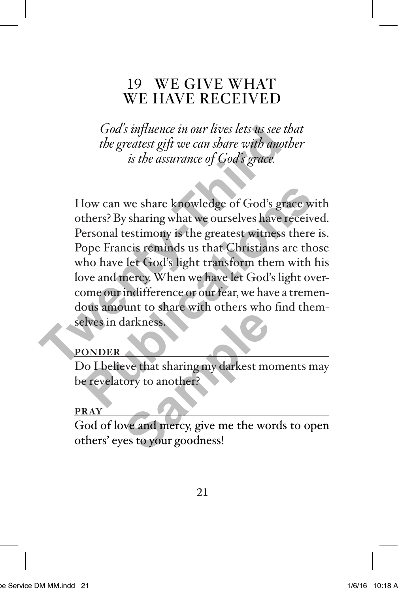## 19 WE GIVE WHAT WE HAVE RECEIVED

*God's influence in our lives lets us see that the greatest gift we can share with another is the assurance of God's grace.*

How can we share knowledge of God's grace with others? By sharing what we ourselves have received. Personal testimony is the greatest witness there is. Pope Francis reminds us that Christians are those who have let God's light transform them with his love and mercy. When we have let God's light overcome our indifference or our fear, we have a tremendous amount to share with others who find themselves in darkness. God's influence in our lives lets us see the<br>the greatest gift we can share with anoth<br>is the assurance of God's grace.<br>How can we share knowledge of God's grace.<br>How can we share knowledge of God's grace.<br>The set of By sh France Consumer the act of the set of the set of the set of the set of the set of the set of the set of the set of the set of the set of the set of the set of the set of the set of the set of the set of the set of the set

## **PONDER**

Do I believe that sharing my darkest moments may be revelatory to another?

## **PRAY**

God of love and mercy, give me the words to open others' eyes to your goodness! Experiences.<br>
Samples of that sharing my darkest moder?<br>
We and mercy, give me the words to your goodness!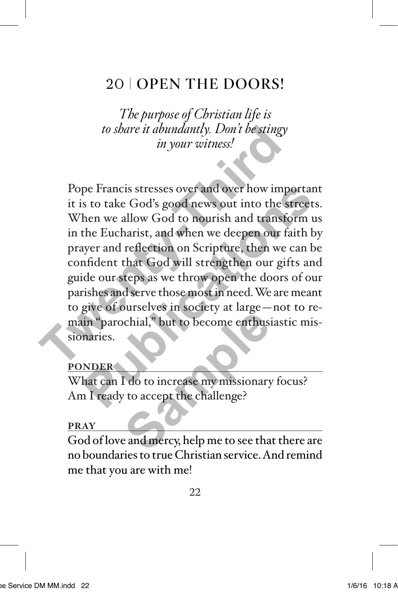# 20 | OPEN THE DOORS!

*The purpose of Christian life is to share it abundantly. Don't be stingy in your witness!*

Pope Francis stresses over and over how important it is to take God's good news out into the streets. When we allow God to nourish and transform us in the Eucharist, and when we deepen our faith by prayer and reflection on Scripture, then we can be confident that God will strengthen our gifts and guide our steps as we throw open the doors of our parishes and serve those most in need. We are meant to give of ourselves in society at large—not to remain "parochial," but to become enthusiastic missionaries. to share it abundantly. Don't be stingy<br>in your witness!<br>The sting of the sting of the sting of the state God's good news out into the st<br>When we allow God to nourish and transfor<br>in the Eucharist, and when we deepen our f pe Francis stresses over and over how important<br>s to take God's good news out into the streets.<br>hen we allow God to nourish and transform us<br>the Eucharist, and when we deepen our faith by<br>yer and reflection on Scripture, t chial,<sup>8</sup> but to become enthusized at an experience of the challenge?<br>
Samples to accept the challenge?<br>
Samples and mercy, help me to see that

### **PONDER**

What can I do to increase my missionary focus? Am I ready to accept the challenge?

#### **PRAY**

God of love and mercy, help me to see that there are no boundaries to true Christian service. And remind me that you are with me!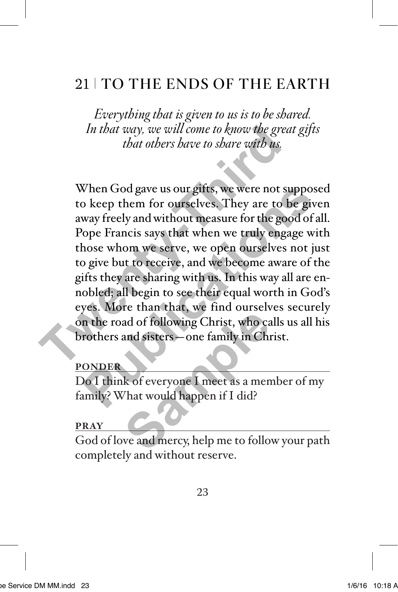# 21 | TO THE ENDS OF THE EARTH

*Everything that is given to us is to be shared. In that way, we will come to know the great gifts that others have to share with us.*

When God gave us our gifts, we were not supposed to keep them for ourselves. They are to be given away freely and without measure for the good of all. Pope Francis says that when we truly engage with those whom we serve, we open ourselves not just to give but to receive, and we become aware of the gifts they are sharing with us. In this way all are ennobled; all begin to see their equal worth in God's eyes. More than that, we find ourselves securely on the road of following Christ, who calls us all his brothers and sisters—one family in Christ. In that way, we will come to know the great<br>that others have to share with us.<br>When God gave us our gifts, we were not su<br>to keep them for ourselves. They are to b<br>away freely and without measure for the goo<br>Pope Francis s When God gave us our gifts, we were not suppose<br>o keep them for ourselves. They are to be give<br>way freely and without measure for the good of al<br>lope Francis says that when we truly engage wit<br>hose whom we serve, we open o ad of following Christ, who can<br>and sisters—one family in Christ<br>k of everyone I meet as a men<br>hat would happen if I did?<br>we and mercy, help me to follo

### **PONDER**

Do I think of everyone I meet as a member of my family? What would happen if I did?

#### **PRAY**

God of love and mercy, help me to follow your path completely and without reserve.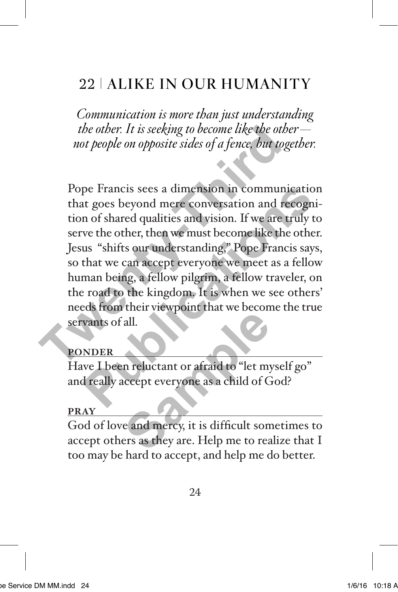# 22 ALIKE IN OUR HUMANITY

*Communication is more than just understanding the other. It is seeking to become like the other not people on opposite sides of a fence, but together.*

Pope Francis sees a dimension in communication that goes beyond mere conversation and recognition of shared qualities and vision. If we are truly to serve the other, then we must become like the other. Jesus "shifts our understanding," Pope Francis says, so that we can accept everyone we meet as a fellow human being, a fellow pilgrim, a fellow traveler, on the road to the kingdom. It is when we see others' needs from their viewpoint that we become the true servants of all. *the other. It is seeking to become like the othe*<br>*That the other of a fence, but toge*<br>*That goes beyond mere conversation and reconominated that goes beyond mere conversation and reconominated to of shared qualities and* pe Francis sees a dimension in communication<br>tt goes beyond mere conversation and recogni-<br>n of shared qualities and vision. If we are truly to<br>ve the other, then we must become like the other.<br>us "shifts our understanding

## **PONDER**

Have I been reluctant or afraid to "let myself go" and really accept everyone as a child of God?

## **PRAY**

God of love and mercy, it is difficult sometimes to accept others as they are. Help me to realize that I too may be hard to accept, and help me do better. all.<br> **Sample 1996**<br> **Sample 1997**<br> **Sample 1997**<br> **Sample 1997**<br> **Sample 1997**<br> **Sample 1997**<br> **Sample 1997**<br> **Sample 1997**<br> **Sample 1997**<br> **Sample 1997**<br> **Sample 1997**<br> **Sample 1997**<br> **Sample 1997**<br> **Sample 1997**<br> **Sampl**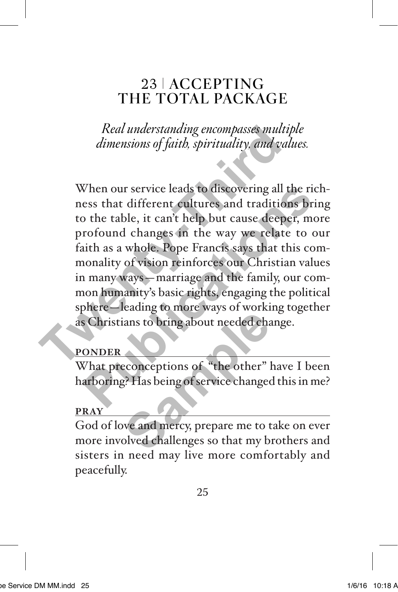## 23 | ACCEPTING THE TOTAL PACKAGE

*Real understanding encompasses multiple dimensions of faith, spirituality, and values.*

When our service leads to discovering all the richness that different cultures and traditions bring to the table, it can't help but cause deeper, more profound changes in the way we relate to our faith as a whole. Pope Francis says that this commonality of vision reinforces our Christian values in many ways—marriage and the family, our common humanity's basic rights, engaging the political sphere—leading to more ways of working together as Christians to bring about needed change. Real understanding encompasses multip<br>dimensions of faith, spirituality, and values<br>When our service leads to discovering all the ness that different cultures and tradition<br>to the table, it can't help but cause deepe<br>profo When our service leads to discovering all the rich<br>ess that different cultures and traditions brin<br>o the table, it can't help but cause deeper, mor<br>rofound changes in the way we relate to ou<br>uith as a whole. Pope Francis s

## **PONDER**

What preconceptions of "the other" have I been harboring? Has being of service changed this in me?

### **PRAY**

God of love and mercy, prepare me to take on ever more involved challenges so that my brothers and sisters in need may live more comfortably and peacefully. Figures 18 and 20 and 20 and 20 and 20 and 20 and 30 and 30 and 30 and 30 and 30 and 30 and 30 and 30 and 30 and 30 and 30 and 30 and 30 and 30 and 30 and 30 and 30 and 30 and 30 and 30 and 30 and 30 and 30 and 30 and 30 a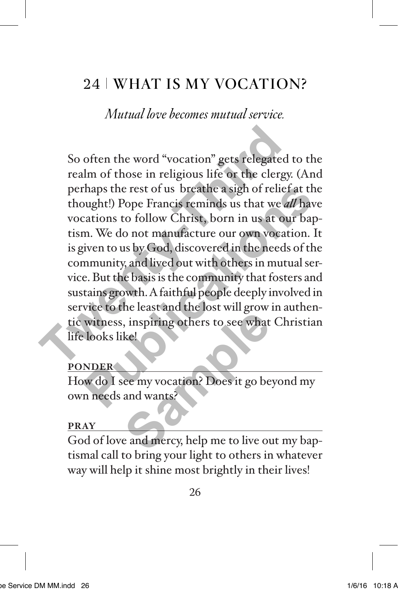# 24 WHAT IS MY VOCATION?

*Mutual love becomes mutual service.*

So often the word "vocation" gets relegated to the realm of those in religious life or the clergy. (And perhaps the rest of us breathe a sigh of relief at the thought!) Pope Francis reminds us that we *all* have vocations to follow Christ, born in us at our baptism. We do not manufacture our own vocation. It is given to us by God, discovered in the needs of the community, and lived out with others in mutual service. But the basis is the community that fosters and sustains growth. A faithful people deeply involved in service to the least and the lost will grow in authentic witness, inspiring others to see what Christian life looks like! So often the word "vocation" gets relegated i<br>realm of those in religious life or the clergy,<br>perhaps the rest of us breathe a sigh of relief<br>thought!) Pope Francis reminds us that we *al*<br>vocations to follow Christ, born thaps the rest of us breathe a sigh of relief at the<br>pught!) Pope Francis reminds us that we *all* have<br>cations to follow Christ, born in us at our bap-<br>m. We do not manufacture our own vocation. It<br>given to us by God, dis France Collection and Society and Society and Society and Society and Society and Wants<sup>2</sup><br>
Related to the and mercy, help me to live our and mercy, help me to live our

### **PONDER**

How do I see my vocation? Does it go beyond my own needs and wants?

### **PRAY**

God of love and mercy, help me to live out my baptismal call to bring your light to others in whatever way will help it shine most brightly in their lives!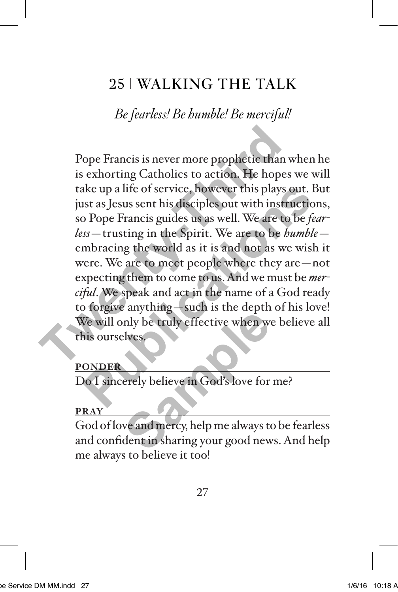# 25 WALKING THE TALK

*Be fearless! Be humble! Be merciful!*

Pope Francis is never more prophetic than when he is exhorting Catholics to action. He hopes we will take up a life of service, however this plays out. But just as Jesus sent his disciples out with instructions, so Pope Francis guides us as well. We are to be *fearless*—trusting in the Spirit. We are to be *humble* embracing the world as it is and not as we wish it were. We are to meet people where they are—not expecting them to come to us. And we must be *merciful*. We speak and act in the name of a God ready to forgive anything—such is the depth of his love! We will only be truly effective when we believe all this ourselves. Pope Francis is never more prophetic than w<br>is exhorting Catholics to action. He hopes<br>take up a life of service, however this plays c<br>just as Jesus sent his disciples out with instrt<br>so Pope Francis guides us as well. We ake up a life of service, however this plays out. But as Jesus sent his disciples out with instructions<br>
publications of Pope Francis guides us as well. We are to be *fear*<br>
so Pope Francis guides us as well. We are to be

## **PONDER**

Do I sincerely believe in God's love for me?

### **PRAY**

God of love and mercy, help me always to be fearless and confident in sharing your good news. And help me always to believe it too! any angles to the depth<br>the set of the depth<br>of the set of the set of the set of the set of the set of the set of the set of the set of the set of the set of the set of the set of the set of the set of the set of the set o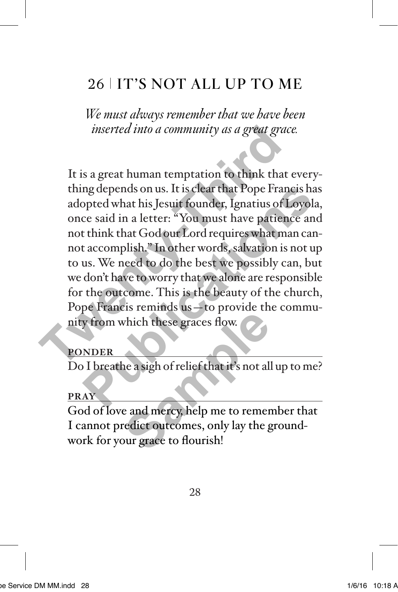# 26 IT'S NOT ALL UP TO ME

*We must always remember that we have been inserted into a community as a great grace.* 

It is a great human temptation to think that everything depends on us. It is clear that Pope Francis has adopted what his Jesuit founder, Ignatius of Loyola, once said in a letter: "You must have patience and not think that God our Lord requires what man cannot accomplish." In other words, salvation is not up to us. We need to do the best we possibly can, but we don't have to worry that we alone are responsible for the outcome. This is the beauty of the church, Pope Francis reminds us—to provide the community from which these graces flow. inserted into a community as a great grace<br>
It is a great human temptation to think that<br>
thing depends on us. It is clear that Pope France<br>
adopted what his Jesuit founder, Ignatius of L<br>
once said in a letter: "You must ng depends on us. It is clear that Pope Francis has<br>opted what his Jesuit founder, Ignatius of Loyola,<br>ce said in a letter: "You must have patience and<br>t think that God our Lord requires what man can-<br>taccomplish." In othe

## **PONDER**

Do I breathe a sigh of relief that it's not all up to me?

### **PRAY**

God of love and mercy, help me to remember that I cannot predict outcomes, only lay the groundwork for your grace to flourish! which these graces flow.<br>
Thich these graces flow.<br>
The assign of relief that it's not all<br> **Sample property to the property of the contract of the property of the property**<br>
Sur grace to flourish!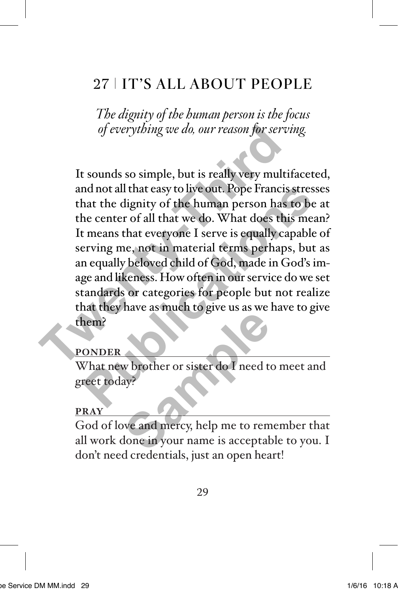# 27 IT'S ALL ABOUT PEOPLE

*The dignity of the human person is the focus of everything we do, our reason for serving.* 

It sounds so simple, but is really very multifaceted, and not all that easy to live out. Pope Francis stresses that the dignity of the human person has to be at the center of all that we do. What does this mean? It means that everyone I serve is equally capable of serving me, not in material terms perhaps, but as an equally beloved child of God, made in God's image and likeness. How often in our service do we set standards or categories for people but not realize that they have as much to give us as we have to give them? of everything we do, our reason for servi<br>It sounds so simple, but is really very multii<br>and not all that easy to live out. Pope Francis<br>that the dignity of the human person has t<br>the center of all that we do. What does th nd not all that easy to live out. Pope Francis stresse<br>hat the dignity of the human person has to be a<br>he center of all that we do. What does this mean<br>t means that everyone I serve is equally capable c<br>erving me, not in m

### **PONDER**

What new brother or sister do I need to meet and greet today?

#### **PRAY**

God of love and mercy, help me to remember that all work done in your name is acceptable to you. I don't need credentials, just an open heart! We brother or sister do I need to<br>ay?<br>We and mercy, help me to rem<br>done in your name is acceptab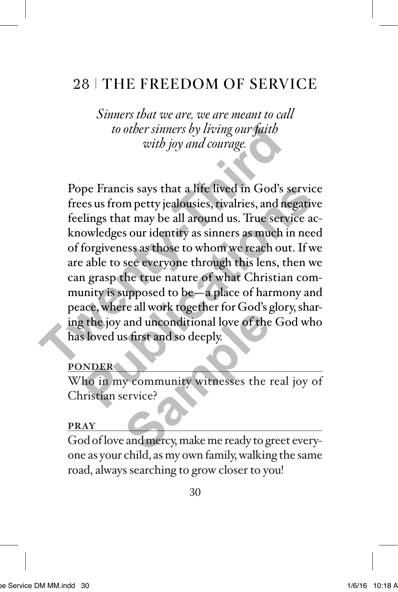# 28 THE FREEDOM OF SERVICE

*Sinners that we are, we are meant to call to other sinners by living our faith with joy and courage.*

Pope Francis says that a life lived in God's service frees us from petty jealousies, rivalries, and negative feelings that may be all around us. True service acknowledges our identity as sinners as much in need of forgiveness as those to whom we reach out. If we are able to see everyone through this lens, then we can grasp the true nature of what Christian community is supposed to be—a place of harmony and peace, where all work together for God's glory, sharing the joy and unconditional love of the God who has loved us first and so deeply. to other sinners by living our faith<br>with joy and courage.<br>Pope Francis says that a life lived in God's sa<br>frees us from petty jealousies, rivalries, and ne<br>feelings that may be all around us. True servi<br>knowledges our ide pe Francis says that a life lived in God's service<br>es us from petty jealousies, rivalries, and negative<br>lings that may be all around us. True service ac-<br>owledges our identity as sinners as much in need<br>forgiveness as thos and unconditional love of the<br>sample of the<br>sample of the<br>sample of the<br>ervice?<br>and mercy, make me ready to g

### **PONDER**

Who in my community witnesses the real joy of Christian service?

#### **PRAY**

God of love and mercy, make me ready to greet everyone as your child, as my own family, walking the same road, always searching to grow closer to you!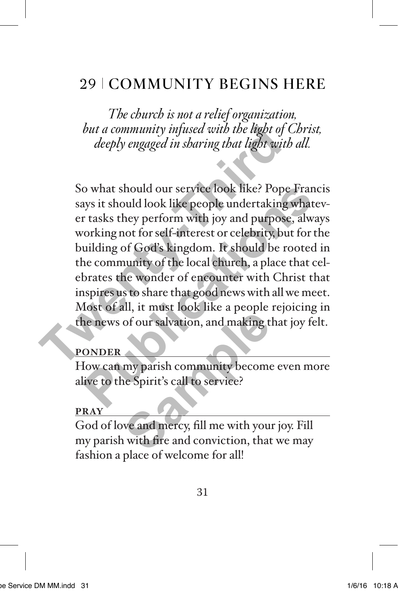# 29 COMMUNITY BEGINS HERE

*The church is not a relief organization, but a community infused with the light of Christ, deeply engaged in sharing that light with all.*

So what should our service look like? Pope Francis says it should look like people undertaking whatever tasks they perform with joy and purpose, always working not for self-interest or celebrity, but for the building of God's kingdom. It should be rooted in the community of the local church, a place that celebrates the wonder of encounter with Christ that inspires us to share that good news with all we meet. Most of all, it must look like a people rejoicing in the news of our salvation, and making that joy felt. but a community infused with the light of C<br>deeply engaged in sharing that light with<br>So what should our service look like? Pope<br>says it should look like people undertaking<br>or tasks they perform with joy and purpose.<br>worki o what should our service look like? Pope Franciays it should look like people undertaking whatever tasks they perform with joy and purpose, alway corking not for self-interest or celebrity, but for the uilding of God's ki

### **PONDER**

How can my parish community become even more alive to the Spirit's call to service?

#### **PRAY**

God of love and mercy, fill me with your joy. Fill my parish with fire and conviction, that we may fashion a place of welcome for all! me a people<br>of our salvation, and making t<br>my parish community become<br>e Spirit's call to service?<br>we and mercy, fill me with you<br>with fire and conviction, that